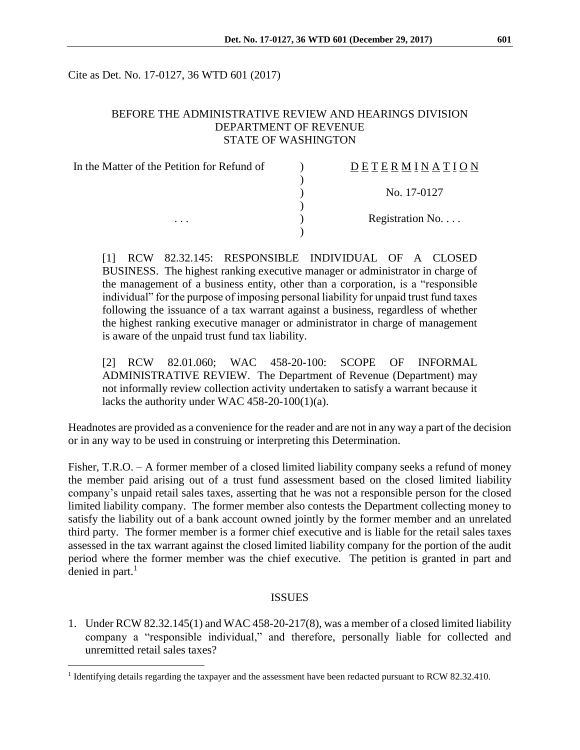Cite as Det. No. 17-0127, 36 WTD 601 (2017)

## BEFORE THE ADMINISTRATIVE REVIEW AND HEARINGS DIVISION DEPARTMENT OF REVENUE STATE OF WASHINGTON

| In the Matter of the Petition for Refund of | DETERMINATION            |
|---------------------------------------------|--------------------------|
|                                             |                          |
|                                             | No. 17-0127              |
|                                             |                          |
| $\cdots$                                    | Registration No. $\dots$ |
|                                             |                          |

[1] RCW 82.32.145: RESPONSIBLE INDIVIDUAL OF A CLOSED BUSINESS. The highest ranking executive manager or administrator in charge of the management of a business entity, other than a corporation, is a "responsible individual" for the purpose of imposing personal liability for unpaid trust fund taxes following the issuance of a tax warrant against a business, regardless of whether the highest ranking executive manager or administrator in charge of management is aware of the unpaid trust fund tax liability.

[2] RCW 82.01.060; WAC 458-20-100: SCOPE OF INFORMAL ADMINISTRATIVE REVIEW. The Department of Revenue (Department) may not informally review collection activity undertaken to satisfy a warrant because it lacks the authority under WAC 458-20-100(1)(a).

Headnotes are provided as a convenience for the reader and are not in any way a part of the decision or in any way to be used in construing or interpreting this Determination.

Fisher, T.R.O. – A former member of a closed limited liability company seeks a refund of money the member paid arising out of a trust fund assessment based on the closed limited liability company's unpaid retail sales taxes, asserting that he was not a responsible person for the closed limited liability company. The former member also contests the Department collecting money to satisfy the liability out of a bank account owned jointly by the former member and an unrelated third party. The former member is a former chief executive and is liable for the retail sales taxes assessed in the tax warrant against the closed limited liability company for the portion of the audit period where the former member was the chief executive. The petition is granted in part and denied in part. 1

## ISSUES

1. Under RCW 82.32.145(1) and WAC 458-20-217(8), was a member of a closed limited liability company a "responsible individual," and therefore, personally liable for collected and unremitted retail sales taxes?

 $\overline{a}$ 

<sup>&</sup>lt;sup>1</sup> Identifying details regarding the taxpayer and the assessment have been redacted pursuant to RCW 82.32.410.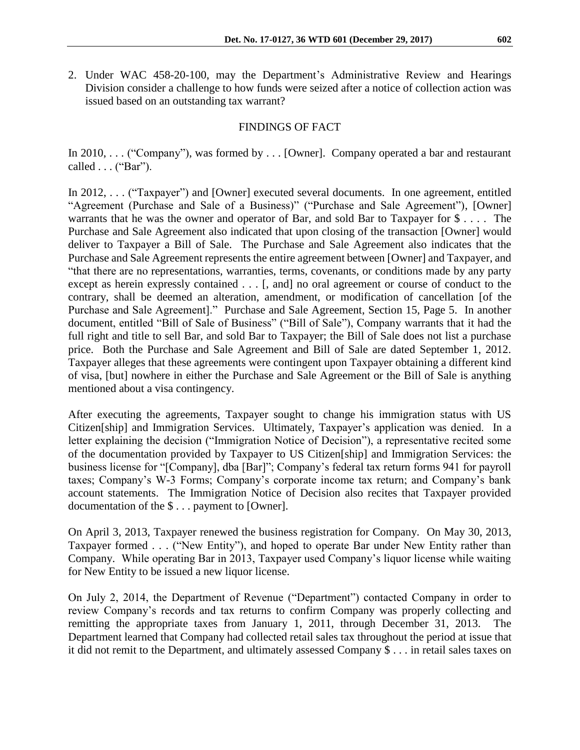2. Under WAC 458-20-100, may the Department's Administrative Review and Hearings Division consider a challenge to how funds were seized after a notice of collection action was issued based on an outstanding tax warrant?

# FINDINGS OF FACT

In 2010, . . . ("Company"), was formed by . . . [Owner]. Company operated a bar and restaurant called . . . ("Bar").

In 2012, . . . ("Taxpayer") and [Owner] executed several documents. In one agreement, entitled "Agreement (Purchase and Sale of a Business)" ("Purchase and Sale Agreement"), [Owner] warrants that he was the owner and operator of Bar, and sold Bar to Taxpayer for \$ . . . . The Purchase and Sale Agreement also indicated that upon closing of the transaction [Owner] would deliver to Taxpayer a Bill of Sale. The Purchase and Sale Agreement also indicates that the Purchase and Sale Agreement represents the entire agreement between [Owner] and Taxpayer, and "that there are no representations, warranties, terms, covenants, or conditions made by any party except as herein expressly contained . . . [, and] no oral agreement or course of conduct to the contrary, shall be deemed an alteration, amendment, or modification of cancellation [of the Purchase and Sale Agreement]." Purchase and Sale Agreement, Section 15, Page 5. In another document, entitled "Bill of Sale of Business" ("Bill of Sale"), Company warrants that it had the full right and title to sell Bar, and sold Bar to Taxpayer; the Bill of Sale does not list a purchase price. Both the Purchase and Sale Agreement and Bill of Sale are dated September 1, 2012. Taxpayer alleges that these agreements were contingent upon Taxpayer obtaining a different kind of visa, [but] nowhere in either the Purchase and Sale Agreement or the Bill of Sale is anything mentioned about a visa contingency.

After executing the agreements, Taxpayer sought to change his immigration status with US Citizen[ship] and Immigration Services. Ultimately, Taxpayer's application was denied. In a letter explaining the decision ("Immigration Notice of Decision"), a representative recited some of the documentation provided by Taxpayer to US Citizen[ship] and Immigration Services: the business license for "[Company], dba [Bar]"; Company's federal tax return forms 941 for payroll taxes; Company's W-3 Forms; Company's corporate income tax return; and Company's bank account statements. The Immigration Notice of Decision also recites that Taxpayer provided documentation of the \$ . . . payment to [Owner].

On April 3, 2013, Taxpayer renewed the business registration for Company. On May 30, 2013, Taxpayer formed . . . ("New Entity"), and hoped to operate Bar under New Entity rather than Company. While operating Bar in 2013, Taxpayer used Company's liquor license while waiting for New Entity to be issued a new liquor license.

On July 2, 2014, the Department of Revenue ("Department") contacted Company in order to review Company's records and tax returns to confirm Company was properly collecting and remitting the appropriate taxes from January 1, 2011, through December 31, 2013. The Department learned that Company had collected retail sales tax throughout the period at issue that it did not remit to the Department, and ultimately assessed Company \$ . . . in retail sales taxes on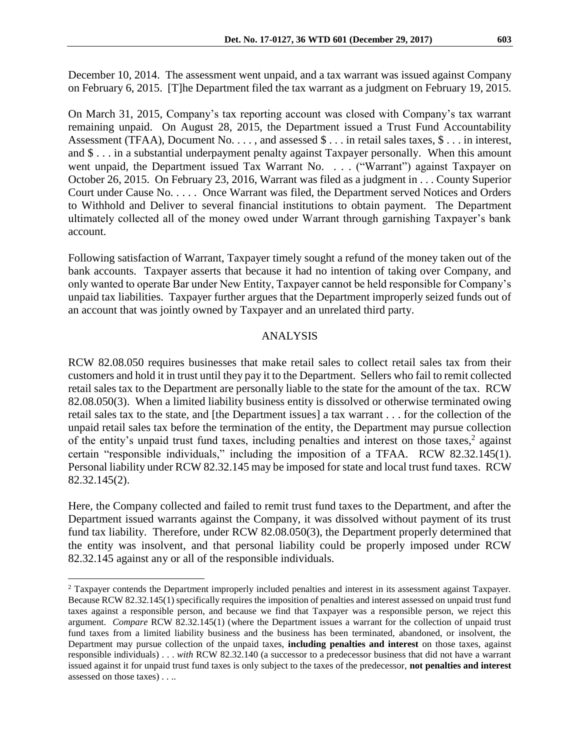December 10, 2014. The assessment went unpaid, and a tax warrant was issued against Company on February 6, 2015. [T]he Department filed the tax warrant as a judgment on February 19, 2015.

On March 31, 2015, Company's tax reporting account was closed with Company's tax warrant remaining unpaid. On August 28, 2015, the Department issued a Trust Fund Accountability Assessment (TFAA), Document No. . . . , and assessed  $\text{\$} \dots$  in retail sales taxes,  $\text{\$} \dots$  in interest, and \$ . . . in a substantial underpayment penalty against Taxpayer personally. When this amount went unpaid, the Department issued Tax Warrant No. . . . ("Warrant") against Taxpayer on October 26, 2015. On February 23, 2016, Warrant was filed as a judgment in . . . County Superior Court under Cause No. . . . . Once Warrant was filed, the Department served Notices and Orders to Withhold and Deliver to several financial institutions to obtain payment. The Department ultimately collected all of the money owed under Warrant through garnishing Taxpayer's bank account.

Following satisfaction of Warrant, Taxpayer timely sought a refund of the money taken out of the bank accounts. Taxpayer asserts that because it had no intention of taking over Company, and only wanted to operate Bar under New Entity, Taxpayer cannot be held responsible for Company's unpaid tax liabilities. Taxpayer further argues that the Department improperly seized funds out of an account that was jointly owned by Taxpayer and an unrelated third party.

### ANALYSIS

RCW 82.08.050 requires businesses that make retail sales to collect retail sales tax from their customers and hold it in trust until they pay it to the Department. Sellers who fail to remit collected retail sales tax to the Department are personally liable to the state for the amount of the tax. RCW 82.08.050(3). When a limited liability business entity is dissolved or otherwise terminated owing retail sales tax to the state, and [the Department issues] a tax warrant . . . for the collection of the unpaid retail sales tax before the termination of the entity, the Department may pursue collection of the entity's unpaid trust fund taxes, including penalties and interest on those taxes,<sup>2</sup> against certain "responsible individuals," including the imposition of a TFAA. RCW 82.32.145(1). Personal liability under RCW 82.32.145 may be imposed for state and local trust fund taxes. RCW 82.32.145(2).

Here, the Company collected and failed to remit trust fund taxes to the Department, and after the Department issued warrants against the Company, it was dissolved without payment of its trust fund tax liability. Therefore, under RCW 82.08.050(3), the Department properly determined that the entity was insolvent, and that personal liability could be properly imposed under RCW 82.32.145 against any or all of the responsible individuals.

 $\overline{a}$ 

<sup>2</sup> Taxpayer contends the Department improperly included penalties and interest in its assessment against Taxpayer. Because RCW 82.32.145(1) specifically requires the imposition of penalties and interest assessed on unpaid trust fund taxes against a responsible person, and because we find that Taxpayer was a responsible person, we reject this argument. *Compare* RCW 82.32.145(1) (where the Department issues a warrant for the collection of unpaid trust fund taxes from a limited liability business and the business has been terminated, abandoned, or insolvent, the Department may pursue collection of the unpaid taxes, **including penalties and interest** on those taxes, against responsible individuals) . . . *with* RCW 82.32.140 (a successor to a predecessor business that did not have a warrant issued against it for unpaid trust fund taxes is only subject to the taxes of the predecessor, **not penalties and interest** assessed on those taxes) . . ..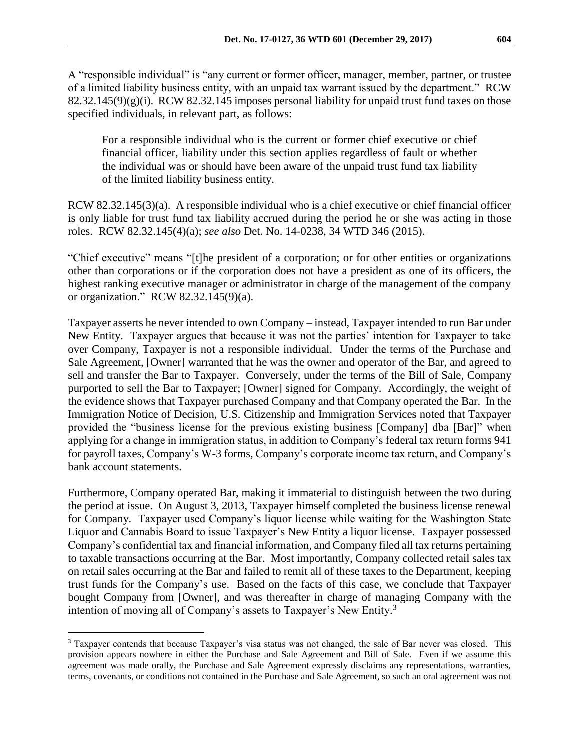A "responsible individual" is "any current or former officer, manager, member, partner, or trustee of a limited liability business entity, with an unpaid tax warrant issued by the department." RCW  $82.32.145(9)(g)(i)$ . RCW  $82.32.145$  imposes personal liability for unpaid trust fund taxes on those specified individuals, in relevant part, as follows:

For a responsible individual who is the current or former chief executive or chief financial officer, liability under this section applies regardless of fault or whether the individual was or should have been aware of the unpaid trust fund tax liability of the limited liability business entity.

RCW 82.32.145(3)(a). A responsible individual who is a chief executive or chief financial officer is only liable for trust fund tax liability accrued during the period he or she was acting in those roles. RCW 82.32.145(4)(a); *see also* Det. No. 14-0238, 34 WTD 346 (2015).

"Chief executive" means "[t]he president of a corporation; or for other entities or organizations other than corporations or if the corporation does not have a president as one of its officers, the highest ranking executive manager or administrator in charge of the management of the company or organization." RCW 82.32.145(9)(a).

Taxpayer asserts he never intended to own Company – instead, Taxpayer intended to run Bar under New Entity. Taxpayer argues that because it was not the parties' intention for Taxpayer to take over Company, Taxpayer is not a responsible individual. Under the terms of the Purchase and Sale Agreement, [Owner] warranted that he was the owner and operator of the Bar, and agreed to sell and transfer the Bar to Taxpayer. Conversely, under the terms of the Bill of Sale, Company purported to sell the Bar to Taxpayer; [Owner] signed for Company. Accordingly, the weight of the evidence shows that Taxpayer purchased Company and that Company operated the Bar. In the Immigration Notice of Decision, U.S. Citizenship and Immigration Services noted that Taxpayer provided the "business license for the previous existing business [Company] dba [Bar]" when applying for a change in immigration status, in addition to Company's federal tax return forms 941 for payroll taxes, Company's W-3 forms, Company's corporate income tax return, and Company's bank account statements.

Furthermore, Company operated Bar, making it immaterial to distinguish between the two during the period at issue. On August 3, 2013, Taxpayer himself completed the business license renewal for Company. Taxpayer used Company's liquor license while waiting for the Washington State Liquor and Cannabis Board to issue Taxpayer's New Entity a liquor license. Taxpayer possessed Company's confidential tax and financial information, and Company filed all tax returns pertaining to taxable transactions occurring at the Bar. Most importantly, Company collected retail sales tax on retail sales occurring at the Bar and failed to remit all of these taxes to the Department, keeping trust funds for the Company's use. Based on the facts of this case, we conclude that Taxpayer bought Company from [Owner], and was thereafter in charge of managing Company with the intention of moving all of Company's assets to Taxpayer's New Entity.<sup>3</sup>

 $\overline{a}$ 

<sup>3</sup> Taxpayer contends that because Taxpayer's visa status was not changed, the sale of Bar never was closed. This provision appears nowhere in either the Purchase and Sale Agreement and Bill of Sale. Even if we assume this agreement was made orally, the Purchase and Sale Agreement expressly disclaims any representations, warranties, terms, covenants, or conditions not contained in the Purchase and Sale Agreement, so such an oral agreement was not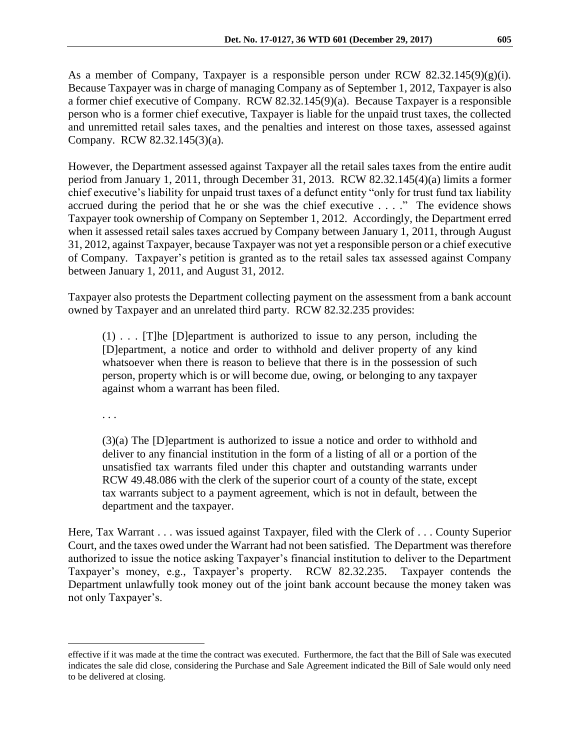As a member of Company, Taxpayer is a responsible person under RCW 82.32.145(9)(g)(i). Because Taxpayer was in charge of managing Company as of September 1, 2012, Taxpayer is also a former chief executive of Company. RCW 82.32.145(9)(a). Because Taxpayer is a responsible person who is a former chief executive, Taxpayer is liable for the unpaid trust taxes, the collected and unremitted retail sales taxes, and the penalties and interest on those taxes, assessed against Company. RCW 82.32.145(3)(a).

However, the Department assessed against Taxpayer all the retail sales taxes from the entire audit period from January 1, 2011, through December 31, 2013. RCW 82.32.145(4)(a) limits a former chief executive's liability for unpaid trust taxes of a defunct entity "only for trust fund tax liability accrued during the period that he or she was the chief executive . . . ." The evidence shows Taxpayer took ownership of Company on September 1, 2012. Accordingly, the Department erred when it assessed retail sales taxes accrued by Company between January 1, 2011, through August 31, 2012, against Taxpayer, because Taxpayer was not yet a responsible person or a chief executive of Company. Taxpayer's petition is granted as to the retail sales tax assessed against Company between January 1, 2011, and August 31, 2012.

Taxpayer also protests the Department collecting payment on the assessment from a bank account owned by Taxpayer and an unrelated third party. RCW 82.32.235 provides:

(1) . . . [T]he [D]epartment is authorized to issue to any person, including the [D]epartment, a notice and order to withhold and deliver property of any kind whatsoever when there is reason to believe that there is in the possession of such person, property which is or will become due, owing, or belonging to any taxpayer against whom a warrant has been filed.

. . .

 $\overline{a}$ 

(3)(a) The [D]epartment is authorized to issue a notice and order to withhold and deliver to any financial institution in the form of a listing of all or a portion of the unsatisfied tax warrants filed under this chapter and outstanding warrants under RCW 49.48.086 with the clerk of the superior court of a county of the state, except tax warrants subject to a payment agreement, which is not in default, between the department and the taxpayer.

Here, Tax Warrant . . . was issued against Taxpayer, filed with the Clerk of . . . County Superior Court, and the taxes owed under the Warrant had not been satisfied. The Department was therefore authorized to issue the notice asking Taxpayer's financial institution to deliver to the Department Taxpayer's money, e.g., Taxpayer's property. RCW 82.32.235. Taxpayer contends the Department unlawfully took money out of the joint bank account because the money taken was not only Taxpayer's.

effective if it was made at the time the contract was executed. Furthermore, the fact that the Bill of Sale was executed indicates the sale did close, considering the Purchase and Sale Agreement indicated the Bill of Sale would only need to be delivered at closing.